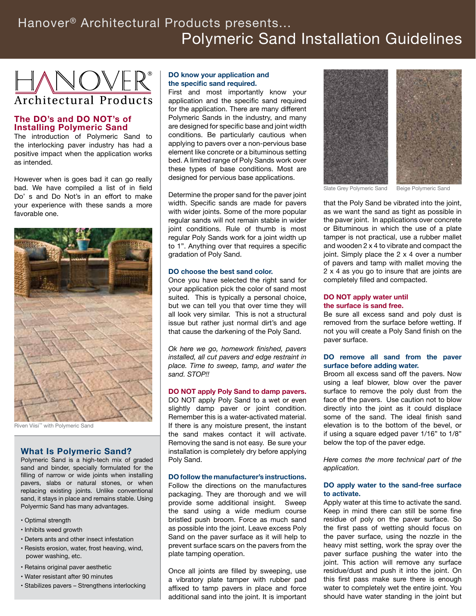# Polymeric Sand Installation Guidelines Hanover® Architectural Products presents...



# **The DO's and DO NOT's of Installing Polymeric Sand**

The introduction of Polymeric Sand to the interlocking paver industry has had a positive impact when the application works as intended.

However when is goes bad it can go really bad. We have compiled a list of in field Do' s and Do Not's in an effort to make your experience with these sands a more favorable one.



Riven Viisi™ with Polymeric Sand

# **What Is Polymeric Sand?**

Polymeric Sand is a high-tech mix of graded sand and binder, specially formulated for the filling of narrow or wide joints when installing pavers, slabs or natural stones, or when replacing existing joints. Unlike conventional sand, it stays in place and remains stable. Using Polyermic Sand has many advantages.

- Optimal strength
- Inhibits weed growth
- Deters ants and other insect infestation
- Resists erosion, water, frost heaving, wind, power washing, etc.
- Retains original paver aesthetic
- Water resistant after 90 minutes
- Stabilizes pavers Strengthens interlocking

## **DO know your application and the specific sand required.**

First and most importantly know your application and the specific sand required for the application. There are many different Polymeric Sands in the industry, and many are designed for specific base and joint width conditions. Be particularly cautious when applying to pavers over a non-pervious base element like concrete or a bituminous setting bed. A limited range of Poly Sands work over these types of base conditions. Most are designed for pervious base applications.

Determine the proper sand for the paver joint width. Specific sands are made for pavers with wider joints. Some of the more popular regular sands will not remain stable in wider joint conditions. Rule of thumb is most regular Poly Sands work for a joint width up to 1". Anything over that requires a specific gradation of Poly Sand.

## **DO choose the best sand color.**

Once you have selected the right sand for your application pick the color of sand most suited. This is typically a personal choice, but we can tell you that over time they will all look very similar. This is not a structural issue but rather just normal dirt's and age that cause the darkening of the Poly Sand.

*Ok here we go, homework finished, pavers installed, all cut pavers and edge restraint in place. Time to sweep, tamp, and water the sand. STOP!!* 

#### **DO NOT apply Poly Sand to damp pavers.**

DO NOT apply Poly Sand to a wet or even slightly damp paver or joint condition. Remember this is a water-activated material. If there is any moisture present, the instant the sand makes contact it will activate. Removing the sand is not easy. Be sure your installation is completely dry before applying Poly Sand.

#### **DO follow the manufacturer's instructions.**

Follow the directions on the manufactures packaging. They are thorough and we will provide some additional insight. Sweep the sand using a wide medium course bristled push broom. Force as much sand as possible into the joint. Leave excess Poly Sand on the paver surface as it will help to prevent surface scars on the pavers from the plate tamping operation.

Once all joints are filled by sweeping, use a vibratory plate tamper with rubber pad affixed to tamp pavers in place and force additional sand into the joint. It is important



Slate Grey Polymeric Sand Beige Polymeric Sand

that the Poly Sand be vibrated into the joint, as we want the sand as tight as possible in the paver joint. In applications over concrete or Bituminous in which the use of a plate tamper is not practical, use a rubber mallet and wooden 2 x 4 to vibrate and compact the joint. Simply place the 2 x 4 over a number of pavers and tamp with mallet moving the 2 x 4 as you go to insure that are joints are completely filled and compacted.

#### **DO NOT apply water until the surface is sand free.**

Be sure all excess sand and poly dust is removed from the surface before wetting. If not you will create a Poly Sand finish on the paver surface.

## **DO remove all sand from the paver surface before adding water.**

Broom all excess sand off the pavers. Now using a leaf blower, blow over the paver surface to remove the poly dust from the face of the pavers. Use caution not to blow directly into the joint as it could displace some of the sand. The ideal finish sand elevation is to the bottom of the bevel, or if using a square edged paver 1/16" to 1/8" below the top of the paver edge.

*Here comes the more technical part of the application.* 

## **DO apply water to the sand-free surface to activate.**

Apply water at this time to activate the sand. Keep in mind there can still be some fine residue of poly on the paver surface. So the first pass of wetting should focus on the paver surface, using the nozzle in the heavy mist setting, work the spray over the paver surface pushing the water into the joint. This action will remove any surface residue/dust and push it into the joint. On this first pass make sure there is enough water to completely wet the entire joint. You should have water standing in the joint but